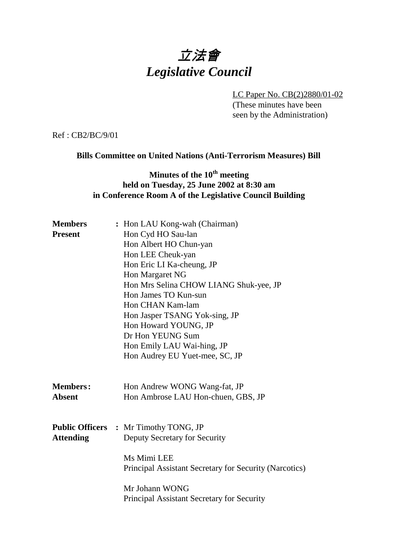# 立法會 *Legislative Council*

LC Paper No. CB(2)2880/01-02 (These minutes have been seen by the Administration)

Ref : CB2/BC/9/01

### **Bills Committee on United Nations (Anti-Terrorism Measures) Bill**

# **Minutes of the 10<sup>th</sup> meeting held on Tuesday, 25 June 2002 at 8:30 am in Conference Room A of the Legislative Council Building**

| <b>Members</b>   | : Hon LAU Kong-wah (Chairman)                          |
|------------------|--------------------------------------------------------|
| <b>Present</b>   | Hon Cyd HO Sau-lan                                     |
|                  | Hon Albert HO Chun-yan                                 |
|                  | Hon LEE Cheuk-yan                                      |
|                  | Hon Eric LI Ka-cheung, JP                              |
|                  | Hon Margaret NG                                        |
|                  | Hon Mrs Selina CHOW LIANG Shuk-yee, JP                 |
|                  | Hon James TO Kun-sun                                   |
|                  | Hon CHAN Kam-lam                                       |
|                  | Hon Jasper TSANG Yok-sing, JP                          |
|                  | Hon Howard YOUNG, JP                                   |
|                  | Dr Hon YEUNG Sum                                       |
|                  | Hon Emily LAU Wai-hing, JP                             |
|                  | Hon Audrey EU Yuet-mee, SC, JP                         |
|                  |                                                        |
|                  |                                                        |
| <b>Members:</b>  | Hon Andrew WONG Wang-fat, JP                           |
| <b>Absent</b>    | Hon Ambrose LAU Hon-chuen, GBS, JP                     |
|                  |                                                        |
|                  |                                                        |
|                  | <b>Public Officers : Mr Timothy TONG, JP</b>           |
| <b>Attending</b> | Deputy Secretary for Security                          |
|                  |                                                        |
|                  | Ms Mimi LEE                                            |
|                  | Principal Assistant Secretary for Security (Narcotics) |
|                  | Mr Johann WONG                                         |
|                  | Principal Assistant Secretary for Security             |
|                  |                                                        |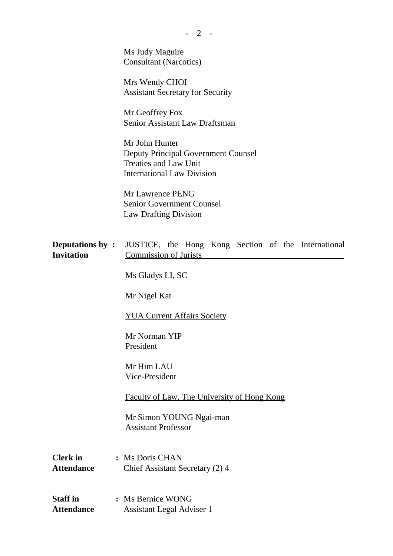Ms Judy Maguire Consultant (Narcotics)

Mrs Wendy CHOI Assistant Secretary for Security

Mr Geoffrey Fox Senior Assistant Law Draftsman

Mr John Hunter Deputy Principal Government Counsel Treaties and Law Unit International Law Division

Mr Lawrence PENG Senior Government Counsel Law Drafting Division

| <b>Deputations by:</b> JUSTICE, the Hong Kong Section of the International |                              |  |  |  |  |
|----------------------------------------------------------------------------|------------------------------|--|--|--|--|
| <b>Invitation</b>                                                          | <b>Commission of Jurists</b> |  |  |  |  |

Ms Gladys LI, SC

Mr Nigel Kat

#### YUA Current Affairs Society

Mr Norman YIP President

Mr Him LAU Vice-President

Faculty of Law, The University of Hong Kong

Mr Simon YOUNG Ngai-man Assistant Professor

**Clerk in :** Ms Doris CHAN Attendance Chief Assistant Secretary (2) 4

**Staff in :** Ms Bernice WONG **Attendance** Assistant Legal Adviser 1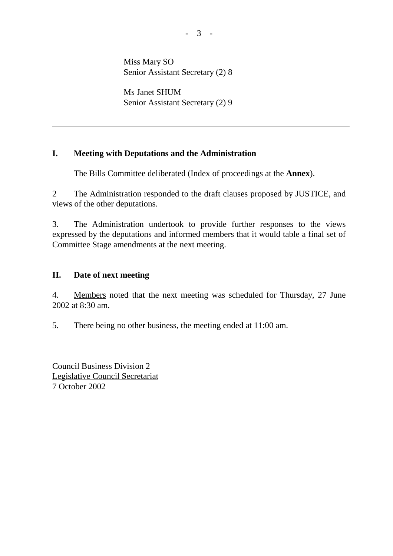Miss Mary SO Senior Assistant Secretary (2) 8

Ms Janet SHUM Senior Assistant Secretary (2) 9

# **I. Meeting with Deputations and the Administration**

The Bills Committee deliberated (Index of proceedings at the **Annex**).

2 The Administration responded to the draft clauses proposed by JUSTICE, and views of the other deputations.

3. The Administration undertook to provide further responses to the views expressed by the deputations and informed members that it would table a final set of Committee Stage amendments at the next meeting.

## **II. Date of next meeting**

 $\overline{a}$ 

4. Members noted that the next meeting was scheduled for Thursday, 27 June 2002 at 8:30 am.

5. There being no other business, the meeting ended at 11:00 am.

Council Business Division 2 Legislative Council Secretariat 7 October 2002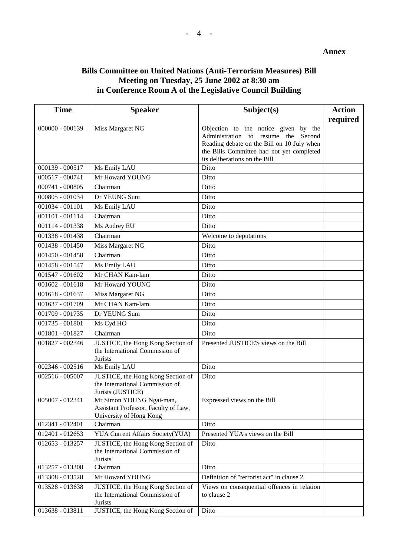#### **Annex**

## **Bills Committee on United Nations (Anti-Terrorism Measures) Bill Meeting on Tuesday, 25 June 2002 at 8:30 am in Conference Room A of the Legislative Council Building**

| required<br>$000000 - 000139$<br>Miss Margaret NG<br>Objection to the notice given by the<br>Administration to resume the<br>Second<br>Reading debate on the Bill on 10 July when<br>the Bills Committee had not yet completed<br>its deliberations on the Bill<br>000139 - 000517<br>Ms Emily LAU<br>Ditto<br>Mr Howard YOUNG<br>000517 - 000741<br>Ditto<br>000741 - 000805<br>Chairman<br>Ditto<br>000805 - 001034<br>Dr YEUNG Sum<br>Ditto<br>Ms Emily LAU<br>Ditto<br>001034 - 001101<br>Chairman<br>001101 - 001114<br>Ditto<br>001114 - 001338<br>Ms Audrey EU<br>Ditto<br>Chairman<br>001338 - 001438<br>Welcome to deputations | <b>Time</b>       | <b>Speaker</b>   | Subject(s) | <b>Action</b> |
|-----------------------------------------------------------------------------------------------------------------------------------------------------------------------------------------------------------------------------------------------------------------------------------------------------------------------------------------------------------------------------------------------------------------------------------------------------------------------------------------------------------------------------------------------------------------------------------------------------------------------------------------|-------------------|------------------|------------|---------------|
|                                                                                                                                                                                                                                                                                                                                                                                                                                                                                                                                                                                                                                         |                   |                  |            |               |
|                                                                                                                                                                                                                                                                                                                                                                                                                                                                                                                                                                                                                                         |                   |                  |            |               |
|                                                                                                                                                                                                                                                                                                                                                                                                                                                                                                                                                                                                                                         |                   |                  |            |               |
|                                                                                                                                                                                                                                                                                                                                                                                                                                                                                                                                                                                                                                         |                   |                  |            |               |
|                                                                                                                                                                                                                                                                                                                                                                                                                                                                                                                                                                                                                                         |                   |                  |            |               |
|                                                                                                                                                                                                                                                                                                                                                                                                                                                                                                                                                                                                                                         |                   |                  |            |               |
|                                                                                                                                                                                                                                                                                                                                                                                                                                                                                                                                                                                                                                         |                   |                  |            |               |
|                                                                                                                                                                                                                                                                                                                                                                                                                                                                                                                                                                                                                                         |                   |                  |            |               |
|                                                                                                                                                                                                                                                                                                                                                                                                                                                                                                                                                                                                                                         |                   |                  |            |               |
|                                                                                                                                                                                                                                                                                                                                                                                                                                                                                                                                                                                                                                         |                   |                  |            |               |
|                                                                                                                                                                                                                                                                                                                                                                                                                                                                                                                                                                                                                                         |                   |                  |            |               |
|                                                                                                                                                                                                                                                                                                                                                                                                                                                                                                                                                                                                                                         |                   |                  |            |               |
|                                                                                                                                                                                                                                                                                                                                                                                                                                                                                                                                                                                                                                         |                   |                  |            |               |
|                                                                                                                                                                                                                                                                                                                                                                                                                                                                                                                                                                                                                                         | $001438 - 001450$ | Miss Margaret NG | Ditto      |               |
| 001450 - 001458<br>Chairman<br>Ditto                                                                                                                                                                                                                                                                                                                                                                                                                                                                                                                                                                                                    |                   |                  |            |               |
| 001458 - 001547<br>Ms Emily LAU<br>Ditto                                                                                                                                                                                                                                                                                                                                                                                                                                                                                                                                                                                                |                   |                  |            |               |
| Mr CHAN Kam-lam<br>001547 - 001602<br>Ditto                                                                                                                                                                                                                                                                                                                                                                                                                                                                                                                                                                                             |                   |                  |            |               |
| $001602 - 001618$<br>Mr Howard YOUNG<br>Ditto                                                                                                                                                                                                                                                                                                                                                                                                                                                                                                                                                                                           |                   |                  |            |               |
| 001618 - 001637<br>Miss Margaret NG<br>Ditto                                                                                                                                                                                                                                                                                                                                                                                                                                                                                                                                                                                            |                   |                  |            |               |
| Mr CHAN Kam-lam<br>001637 - 001709<br>Ditto                                                                                                                                                                                                                                                                                                                                                                                                                                                                                                                                                                                             |                   |                  |            |               |
| 001709 - 001735<br>Dr YEUNG Sum<br>Ditto                                                                                                                                                                                                                                                                                                                                                                                                                                                                                                                                                                                                |                   |                  |            |               |
| 001735 - 001801<br>Ms Cyd HO<br>Ditto                                                                                                                                                                                                                                                                                                                                                                                                                                                                                                                                                                                                   |                   |                  |            |               |
| 001801 - 001827<br>Chairman<br>Ditto                                                                                                                                                                                                                                                                                                                                                                                                                                                                                                                                                                                                    |                   |                  |            |               |
| JUSTICE, the Hong Kong Section of<br>Presented JUSTICE'S views on the Bill<br>001827 - 002346                                                                                                                                                                                                                                                                                                                                                                                                                                                                                                                                           |                   |                  |            |               |
| the International Commission of<br><b>Jurists</b>                                                                                                                                                                                                                                                                                                                                                                                                                                                                                                                                                                                       |                   |                  |            |               |
| 002346 - 002516<br>Ms Emily LAU<br>Ditto                                                                                                                                                                                                                                                                                                                                                                                                                                                                                                                                                                                                |                   |                  |            |               |
| 002516 - 005007<br>JUSTICE, the Hong Kong Section of<br>Ditto                                                                                                                                                                                                                                                                                                                                                                                                                                                                                                                                                                           |                   |                  |            |               |
| the International Commission of                                                                                                                                                                                                                                                                                                                                                                                                                                                                                                                                                                                                         |                   |                  |            |               |
| Jurists (JUSTICE)                                                                                                                                                                                                                                                                                                                                                                                                                                                                                                                                                                                                                       |                   |                  |            |               |
| Mr Simon YOUNG Ngai-man,<br>$005007 - 012341$<br>Expressed views on the Bill                                                                                                                                                                                                                                                                                                                                                                                                                                                                                                                                                            |                   |                  |            |               |
| Assistant Professor, Faculty of Law,<br>University of Hong Kong                                                                                                                                                                                                                                                                                                                                                                                                                                                                                                                                                                         |                   |                  |            |               |
| 012341 - 012401<br>Ditto<br>Chairman                                                                                                                                                                                                                                                                                                                                                                                                                                                                                                                                                                                                    |                   |                  |            |               |
| Presented YUA's views on the Bill<br>YUA Current Affairs Society(YUA)<br>012401 - 012653                                                                                                                                                                                                                                                                                                                                                                                                                                                                                                                                                |                   |                  |            |               |
| 012653 - 013257<br>JUSTICE, the Hong Kong Section of<br>Ditto                                                                                                                                                                                                                                                                                                                                                                                                                                                                                                                                                                           |                   |                  |            |               |
| the International Commission of                                                                                                                                                                                                                                                                                                                                                                                                                                                                                                                                                                                                         |                   |                  |            |               |
| Jurists                                                                                                                                                                                                                                                                                                                                                                                                                                                                                                                                                                                                                                 |                   |                  |            |               |
| 013257 - 013308<br>Ditto<br>Chairman                                                                                                                                                                                                                                                                                                                                                                                                                                                                                                                                                                                                    |                   |                  |            |               |
| Definition of "terrorist act" in clause 2<br>Mr Howard YOUNG<br>013308 - 013528                                                                                                                                                                                                                                                                                                                                                                                                                                                                                                                                                         |                   |                  |            |               |
| JUSTICE, the Hong Kong Section of<br>Views on consequential offences in relation<br>013528 - 013638                                                                                                                                                                                                                                                                                                                                                                                                                                                                                                                                     |                   |                  |            |               |
| the International Commission of<br>to clause 2<br>Jurists                                                                                                                                                                                                                                                                                                                                                                                                                                                                                                                                                                               |                   |                  |            |               |
| 013638 - 013811<br>JUSTICE, the Hong Kong Section of<br>Ditto                                                                                                                                                                                                                                                                                                                                                                                                                                                                                                                                                                           |                   |                  |            |               |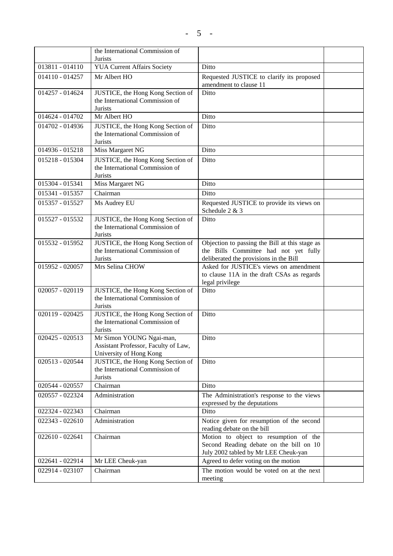|                 | the International Commission of<br><b>Jurists</b>                                           |                                                                                                                                   |  |
|-----------------|---------------------------------------------------------------------------------------------|-----------------------------------------------------------------------------------------------------------------------------------|--|
| 013811 - 014110 | <b>YUA Current Affairs Society</b>                                                          | Ditto                                                                                                                             |  |
| 014110 - 014257 | Mr Albert HO                                                                                | Requested JUSTICE to clarify its proposed<br>amendment to clause 11                                                               |  |
| 014257 - 014624 | JUSTICE, the Hong Kong Section of<br>the International Commission of<br><b>Jurists</b>      | Ditto                                                                                                                             |  |
| 014624 - 014702 | Mr Albert HO                                                                                | Ditto                                                                                                                             |  |
| 014702 - 014936 | JUSTICE, the Hong Kong Section of<br>the International Commission of<br><b>Jurists</b>      | Ditto                                                                                                                             |  |
| 014936 - 015218 | Miss Margaret NG                                                                            | Ditto                                                                                                                             |  |
| 015218 - 015304 | JUSTICE, the Hong Kong Section of<br>the International Commission of<br>Jurists             | Ditto                                                                                                                             |  |
| 015304 - 015341 | Miss Margaret NG                                                                            | Ditto                                                                                                                             |  |
| 015341 - 015357 | Chairman                                                                                    | Ditto                                                                                                                             |  |
| 015357 - 015527 | Ms Audrey EU                                                                                | Requested JUSTICE to provide its views on<br>Schedule 2 & 3                                                                       |  |
| 015527 - 015532 | JUSTICE, the Hong Kong Section of<br>the International Commission of<br>Jurists             | Ditto                                                                                                                             |  |
| 015532 - 015952 | JUSTICE, the Hong Kong Section of<br>the International Commission of<br>Jurists             | Objection to passing the Bill at this stage as<br>the Bills Committee had not yet fully<br>deliberated the provisions in the Bill |  |
| 015952 - 020057 | Mrs Selina CHOW                                                                             | Asked for JUSTICE's views on amendment<br>to clause 11A in the draft CSAs as regards<br>legal privilege                           |  |
| 020057 - 020119 | JUSTICE, the Hong Kong Section of<br>the International Commission of<br>Jurists             | Ditto                                                                                                                             |  |
| 020119 - 020425 | JUSTICE, the Hong Kong Section of<br>the International Commission of<br>Jurists             | Ditto                                                                                                                             |  |
| 020425 - 020513 | Mr Simon YOUNG Ngai-man,<br>Assistant Professor, Faculty of Law,<br>University of Hong Kong | Ditto                                                                                                                             |  |
| 020513 - 020544 | JUSTICE, the Hong Kong Section of<br>the International Commission of<br>Jurists             | Ditto                                                                                                                             |  |
| 020544 - 020557 | Chairman                                                                                    | Ditto                                                                                                                             |  |
| 020557 - 022324 | Administration                                                                              | The Administration's response to the views<br>expressed by the deputations                                                        |  |
| 022324 - 022343 | Chairman                                                                                    | Ditto                                                                                                                             |  |
| 022343 - 022610 | Administration                                                                              | Notice given for resumption of the second<br>reading debate on the bill                                                           |  |
| 022610 - 022641 | Chairman                                                                                    | Motion to object to resumption of the<br>Second Reading debate on the bill on 10<br>July 2002 tabled by Mr LEE Cheuk-yan          |  |
| 022641 - 022914 | Mr LEE Cheuk-yan                                                                            | Agreed to defer voting on the motion                                                                                              |  |
| 022914 - 023107 | Chairman                                                                                    | The motion would be voted on at the next<br>meeting                                                                               |  |